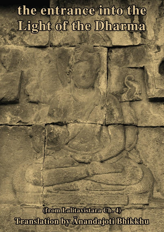# the entrance into the Light of the Dharma

**(from Lalitavistara Ch. 4)** Translation by Anandafoti Bhildkhu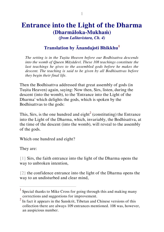### **Entrance into the Light of the Dharma (Dharmāloka-Mukhaṁ)** *(from Lalitavistara, Ch. 4)*

#### **Translation by Ānandajoti Bhikkhu<sup>1</sup>**

*The setting is in the Tuṣita Heaven before our Bodhisattva descends into the womb of Queen Māyādevī. These 108 teachings constitute the*  last teachings he gives to the assembled gods before he makes the *descent. The teaching is said to be given by all Bodhisattvas before they begin their final life.* 

Then the Bodhisattva addressed that great assembly of gods (in Tuṣita Heaven) again, saying: Now then, Sirs, listen, during the descent (into the womb), to the 'Entrance into the Light of the Dharma' which delights the gods, which is spoken by the Bodhisattvas to the gods:

This, Sirs, is the one hundred and eight<sup>2</sup> (constituting) the Entrance into the Light of the Dharma, which, invariably, the Bodhisattva, at the time of the descent (into the womb), will reveal to the assembly of the gods.

Which one hundred and eight?

They are:

 $\overline{a}$ 

{1} Sirs, the faith entrance into the light of the Dharma opens the way to unbroken intention,

{2} the confidence entrance into the light of the Dharma opens the way to an undisturbed and clear mind,

<sup>1</sup> Special thanks to Mike Cross for going through this and making many corrections and suggestions for improvement.

<sup>2</sup> In fact it appears in the Sanskrit, Tibetan and Chinese versions of this collection there are always 109 entrances mentioned. 108 was, however, an auspicious number.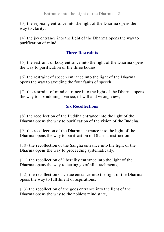{3} the rejoicing entrance into the light of the Dharma opens the way to clarity,

{4} the joy entrance into the light of the Dharma opens the way to purification of mind,

#### **Three Restraints**

{5} the restraint of body entrance into the light of the Dharma opens the way to purification of the three bodies,

{6} the restraint of speech entrance into the light of the Dharma opens the way to avoiding the four faults of speech,

{7} the restraint of mind entrance into the light of the Dharma opens the way to abandoning avarice, ill-will and wrong view,

#### **Six Recollections**

{8} the recollection of the Buddha entrance into the light of the Dharma opens the way to purification of the vision of the Buddha,

{9} the recollection of the Dharma entrance into the light of the Dharma opens the way to purification of Dharma instruction,

{10} the recollection of the Saṅgha entrance into the light of the Dharma opens the way to proceeding systematically,

{11} the recollection of liberality entrance into the light of the Dharma opens the way to letting go of all attachments,

{12} the recollection of virtue entrance into the light of the Dharma opens the way to fulfilment of aspirations,

{13} the recollection of the gods entrance into the light of the Dharma opens the way to the noblest mind state,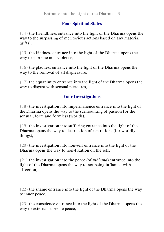#### **Four Spiritual States**

{14} the friendliness entrance into the light of the Dharma opens the way to the surpassing of meritorious actions based on any material (gifts),

{15} the kindness entrance into the light of the Dharma opens the way to supreme non-violence,

{16} the gladness entrance into the light of the Dharma opens the way to the removal of all displeasure,

{17} the equanimity entrance into the light of the Dharma opens the way to disgust with sensual pleasures,

#### **Four Investigations**

{18} the investigation into impermanence entrance into the light of the Dharma opens the way to the surmounting of passion for the sensual, form and formless (worlds),

{19} the investigation into suffering entrance into the light of the Dharma opens the way to destruction of aspirations (for worldly things),

{20} the investigation into non-self entrance into the light of the Dharma opens the way to non-fixation on the self,

{21} the investigation into the peace (of *nibbāna*) entrance into the light of the Dharma opens the way to not being inflamed with affection,

{22} the shame entrance into the light of the Dharma opens the way to inner peace,

{23} the conscience entrance into the light of the Dharma opens the way to external supreme peace,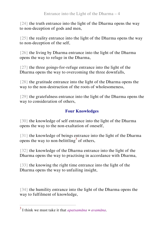{24} the truth entrance into the light of the Dharma opens the way to non-deception of gods and men,

{25} the reality entrance into the light of the Dharma opens the way to non-deception of the self,

{26} the living by Dharma entrance into the light of the Dharma opens the way to refuge in the Dharma,

{27} the three goings-for-refuge entrance into the light of the Dharma opens the way to overcoming the three downfalls,

{28} the gratitude entrance into the light of the Dharma opens the way to the non-destruction of the roots of wholesomeness,

{29} the gratefulness entrance into the light of the Dharma opens the way to consideration of others,

#### **Four Knowledges**

{30} the knowledge of self entrance into the light of the Dharma opens the way to the non-exaltation of oneself,

{31} the knowledge of beings entrance into the light of the Dharma opens the way to non-belittling<sup>3</sup> of others,

{32} the knowledge of the Dharma entrance into the light of the Dharma opens the way to practising in accordance with Dharma,

{33} the knowing the right time entrance into the light of the Dharma opens the way to unfailing insight,

{34} the humility entrance into the light of the Dharma opens the way to fulfilment of knowledge,

 $\overline{a}$ 

<sup>3</sup> I think we must take it that *apatsamāna* = *avamāna*.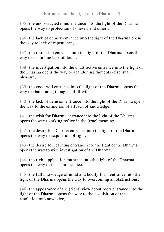{35} the unobstructed mind entrance into the light of the Dharma opens the way to protection of oneself and others,

{36} the lack of enmity entrance into the light of the Dharma opens the way to lack of repentance,

{37} the resolution entrance into the light of the Dharma opens the way to a supreme lack of doubt,

{38} the investigation into the unattractive entrance into the light of the Dharma opens the way to abandoning thoughts of sensual pleasure,

{39} the good-will entrance into the light of the Dharma opens the way to abandoning thoughts of ill-will,

{40} the lack of delusion entrance into the light of the Dharma opens the way to the extinction of all lack of knowledge,

{41} the wish for Dharma entrance into the light of the Dharma opens the way to taking refuge in the (true) meaning,

{42} the desire for Dharma entrance into the light of the Dharma opens the way to acquisition of light,

{43} the desire for learning entrance into the light of the Dharma opens the way to wise investigation of the Dharma,

{44} the right application entrance into the light of the Dharma opens the way to the right practice,

{45} the full knowledge of mind and bodily-form entrance into the light of the Dharma opens the way to overcoming all obstructions,

{46} the appearance of the (right) view about roots entrance into the light of the Dharma opens the way to the acquisition of the resolution on knowledge,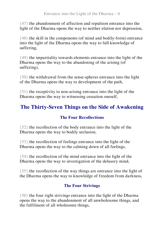{47} the abandonment of affection and repulsion entrance into the light of the Dharma opens the way to neither elation nor depression,

{48} the skill in the components (of mind and bodily-form) entrance into the light of the Dharma opens the way to full knowledge of suffering,

{49} the impartiality towards elements entrance into the light of the Dharma opens the way to the abandoning of the arising (of suffering),

{50} the withdrawal from the sense-spheres entrance into the light of the Dharma opens the way to development of the path,

{51} the receptivity to non-arising entrance into the light of the Dharma opens the way to witnessing cessation oneself,

## **The Thirty-Seven Things on the Side of Awakening**

#### **The Four Recollections**

{52} the recollection of the body entrance into the light of the Dharma opens the way to bodily seclusion,

{53} the recollection of feelings entrance into the light of the Dharma opens the way to the calming down of all feelings,

{54} the recollection of the mind entrance into the light of the Dharma opens the way to investigation of the delusory mind,

{55} the recollection of the way things are entrance into the light of the Dharma opens the way to knowledge of freedom from darkness,

#### **The Four Strivings**

{56} the four right strivings entrance into the light of the Dharma opens the way to the abandonment of all unwholesome things, and the fulfilment of all wholesome things,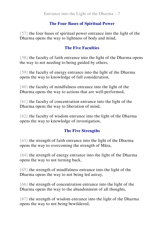#### **The Four Bases of Spiritual Power**

{57} the four bases of spiritual power entrance into the light of the Dharma opens the way to lightness of body and mind.

#### **The Five Faculties**

{58} the faculty of faith entrance into the light of the Dharma opens the way to not needing to being guided by others,

{59} the faculty of energy entrance into the light of the Dharma opens the way to knowledge of full consideration,

{60} the faculty of mindfulness entrance into the light of the Dharma opens the way to actions that are well-performed,

{61} the faculty of concentration entrance into the light of the Dharma opens the way to liberation of mind,

{62} the faculty of wisdom entrance into the light of the Dharma opens the way to knowledge of investigation,

#### **The Five Strengths**

{63} the strength of faith entrance into the light of the Dharma opens the way to overcoming the strength of Māra,

{64} the strength of energy entrance into the light of the Dharma opens the way to not turning back,

{65} the strength of mindfulness entrance into the light of the Dharma opens the way to not being led astray,

{66} the strength of concentration entrance into the light of the Dharma opens the way to the abandonment of all thoughts,

{67} the strength of wisdom entrance into the light of the Dharma opens the way to not being bewildered,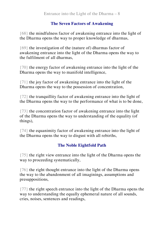#### **The Seven Factors of Awakening**

{68} the mindfulness factor of awakening entrance into the light of the Dharma opens the way to proper knowledge of dharmas,

{69} the investigation of the (nature of) dharmas factor of awakening entrance into the light of the Dharma opens the way to the fulfilment of all dharmas,

{70} the energy factor of awakening entrance into the light of the Dharma opens the way to manifold intelligence,

{71} the joy factor of awakening entrance into the light of the Dharma opens the way to the possession of concentration,

{72} the tranquillity factor of awakening entrance into the light of the Dharma opens the way to the performance of what is to be done,

{73} the concentration factor of awakening entrance into the light of the Dharma opens the way to understanding of the equality (of things),

{74} the equanimity factor of awakening entrance into the light of the Dharma opens the way to disgust with all rebirths,

#### **The Noble Eightfold Path**

{75} the right view entrance into the light of the Dharma opens the way to proceeding systematically,

{76} the right thought entrance into the light of the Dharma opens the way to the abandonment of all imaginings, assumptions and presuppositions,

{77} the right speech entrance into the light of the Dharma opens the way to understanding the equally ephemeral nature of all sounds, cries, noises, sentences and readings,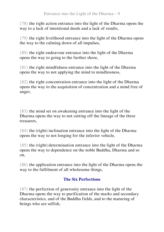{78} the right action entrance into the light of the Dharma opens the way to a lack of intentional deeds and a lack of results,

{79} the right livelihood entrance into the light of the Dharma opens the way to the calming down of all impulses,

{80} the right endeavour entrance into the light of the Dharma opens the way to going to the further shore,

{81} the right mindfulness entrance into the light of the Dharma opens the way to not applying the mind to mindlessness,

{82} the right concentration entrance into the light of the Dharma opens the way to the acquisition of concentration and a mind free of anger,

{83} the mind set on awakening entrance into the light of the Dharma opens the way to not cutting off the lineage of the three treasures,

{84} the (right) inclination entrance into the light of the Dharma opens the way to not longing for the inferior vehicle,

{85} the (right) determination entrance into the light of the Dharma opens the way to dependence on the noble Buddha, Dharma and so on,

{86} the application entrance into the light of the Dharma opens the way to the fulfilment of all wholesome things,

#### **The Six Perfections**

{87} the perfection of generosity entrance into the light of the Dharma opens the way to purification of the marks and secondary characteristics, and of the Buddha fields, and to the maturing of beings who are selfish,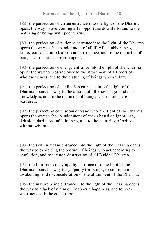{88} the perfection of virtue entrance into the light of the Dharma opens the way to overcoming all inopportune downfalls, and to the maturing of beings with poor virtue,

{89} the perfection of patience entrance into the light of the Dharma opens the way to the abandonment of all ill-will, stubbornness, faults, conceits, intoxications and arrogance, and to the maturing of beings whose minds are corrupted,

{90} the perfection of energy entrance into the light of the Dharma opens the way to crossing over to the attainment of all roots of wholesomeness, and to the maturing of beings who are lazy,

{91} the perfection of meditation entrance into the light of the Dharma opens the way to the arising of all knowledges and deep knowledges, and to the maturing of beings whose minds are scattered,

{92} the perfection of wisdom entrance into the light of the Dharma opens the way to the abandonment of views based on ignorance, delusion, darkness and blindness, and to the maturing of beings without wisdom,

{93} the skill in means entrance into the light of the Dharma opens the way to exhibiting the posture of beings who act according to resolution, and to the non-destruction of all Buddha-Dharma,

{94} the four bases of sympathy entrance into the light of the Dharma opens the way to sympathy for beings, to attainment of awakening, and to consideration of the attainment of the Dharma,

{95} the mature being entrance into the light of the Dharma opens the way to a lack of claim on one's own happiness, and to nonweariness with the conclusion,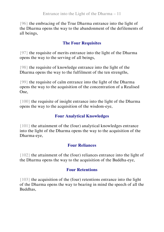{96} the embracing of the True Dharma entrance into the light of the Dharma opens the way to the abandonment of the defilements of all beings,

#### **The Four Requisites**

{97} the requisite of merits entrance into the light of the Dharma opens the way to the serving of all beings,

{98} the requisite of knowledge entrance into the light of the Dharma opens the way to the fulfilment of the ten strengths,

{99} the requisite of calm entrance into the light of the Dharma opens the way to the acquisition of the concentration of a Realised One,

{100} the requisite of insight entrance into the light of the Dharma opens the way to the acquisition of the wisdom-eye,

#### **Four Analytical Knowledges**

{101} the attainment of the (four) analytical knowledges entrance into the light of the Dharma opens the way to the acquisition of the Dharma-eye,

#### **Four Reliances**

{102} the attainment of the (four) reliances entrance into the light of the Dharma opens the way to the acquisition of the Buddha-eye,

#### **Four Retentions**

{103} the acquisition of the (four) retentions entrance into the light of the Dharma opens the way to bearing in mind the speech of all the Buddhas,